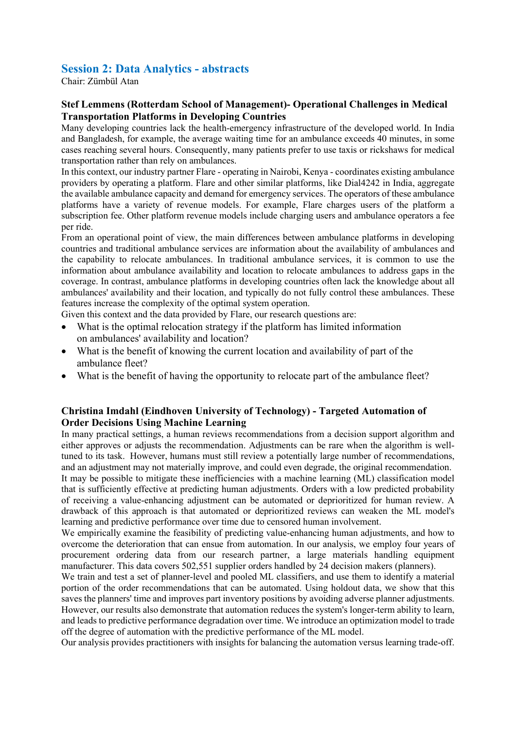## **Session 2: Data Analytics - abstracts**

Chair: Zümbül Atan

## **Stef Lemmens (Rotterdam School of Management)- Operational Challenges in Medical Transportation Platforms in Developing Countries**

Many developing countries lack the health-emergency infrastructure of the developed world. In India and Bangladesh, for example, the average waiting time for an ambulance exceeds 40 minutes, in some cases reaching several hours. Consequently, many patients prefer to use taxis or rickshaws for medical transportation rather than rely on ambulances.

In this context, our industry partner Flare - operating in Nairobi, Kenya - coordinates existing ambulance providers by operating a platform. Flare and other similar platforms, like Dial4242 in India, aggregate the available ambulance capacity and demand for emergency services. The operators of these ambulance platforms have a variety of revenue models. For example, Flare charges users of the platform a subscription fee. Other platform revenue models include charging users and ambulance operators a fee per ride.

From an operational point of view, the main differences between ambulance platforms in developing countries and traditional ambulance services are information about the availability of ambulances and the capability to relocate ambulances. In traditional ambulance services, it is common to use the information about ambulance availability and location to relocate ambulances to address gaps in the coverage. In contrast, ambulance platforms in developing countries often lack the knowledge about all ambulances' availability and their location, and typically do not fully control these ambulances. These features increase the complexity of the optimal system operation.

Given this context and the data provided by Flare, our research questions are:

- What is the optimal relocation strategy if the platform has limited information on ambulances' availability and location?
- What is the benefit of knowing the current location and availability of part of the ambulance fleet?
- What is the benefit of having the opportunity to relocate part of the ambulance fleet?

## **Christina Imdahl (Eindhoven University of Technology) - Targeted Automation of Order Decisions Using Machine Learning**

In many practical settings, a human reviews recommendations from a decision support algorithm and either approves or adjusts the recommendation. Adjustments can be rare when the algorithm is welltuned to its task. However, humans must still review a potentially large number of recommendations, and an adjustment may not materially improve, and could even degrade, the original recommendation. It may be possible to mitigate these inefficiencies with a machine learning (ML) classification model that is sufficiently effective at predicting human adjustments. Orders with a low predicted probability

of receiving a value-enhancing adjustment can be automated or deprioritized for human review. A drawback of this approach is that automated or deprioritized reviews can weaken the ML model's learning and predictive performance over time due to censored human involvement.

We empirically examine the feasibility of predicting value-enhancing human adjustments, and how to overcome the deterioration that can ensue from automation. In our analysis, we employ four years of procurement ordering data from our research partner, a large materials handling equipment manufacturer. This data covers 502,551 supplier orders handled by 24 decision makers (planners).

We train and test a set of planner-level and pooled ML classifiers, and use them to identify a material portion of the order recommendations that can be automated. Using holdout data, we show that this saves the planners' time and improves part inventory positions by avoiding adverse planner adjustments. However, our results also demonstrate that automation reduces the system's longer-term ability to learn, and leads to predictive performance degradation over time. We introduce an optimization model to trade off the degree of automation with the predictive performance of the ML model.

Our analysis provides practitioners with insights for balancing the automation versus learning trade-off.